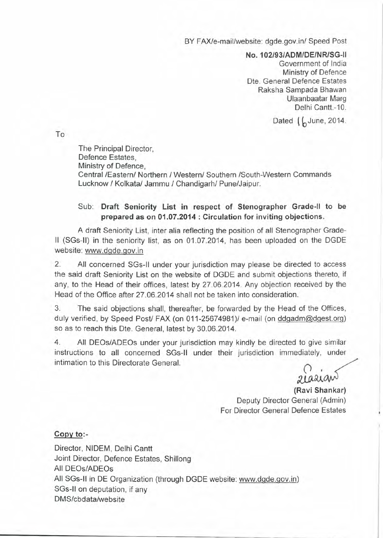BY FAX/e-mail/website: dgde.gov.in/ Speed Post

**No.102/93/ADM/DE/NRISG-1I** Government of India Ministry of Defence Dte. General Defence Estates Raksha Sampada Bhawan Ulaanbaatar Marg Delhi Cantt.-10.

Dated  $\int$  June, 2014.

To

The Principal Director, Defence Estates, Ministry of Defence, Central /Eastern/ Northern / Western/ Southern /South-Western Commands Lucknow / Kolkata/ Jammu / Chandigarh/ Pune/Jaipur.

## Sub: **Draft Seniority List in respect of Stenographer Grade-II to be prepared as on 01.07.2014 : Circulation for inviting objections.**

A draft Seniority List, inter alia reflecting the position of all Stenographer Grade-II (SGs-ll) in the seniority list, as on 01.07.2014, has been uploaded on the DGDE website: www.dgde.gov.in

2. All concerned SGs-1i under your jurisdiction may please be directed to access the said draft Seniority List on the website of DGDE and submit objections thereto, if any, to the Head of their offices, latest by 27.06.2014. Any objection received by the Head of the Office after 27.06.2014 shall not be taken into consideration.

3. The said objections shall, thereafter, be forwarded by the Head of the Offices, duly verified, by Speed Post/ FAX (on 011-25674981)/ e-mail (on ddgadm@dgest.org) so as to reach this Dte. General, latest by 30.06.2014.

4. All DEOs/ADEOs under your jurisdiction may kindly be directed to give similar instructions to all concerned SGs-1i under their jurisdiction immediately, under intimation to this Directorate General.

*:w;.,9J..~*

**(Ravi Shankar)** Deputy Director General (Admin) For Director General Defence Estates

## **Copy to:-**

Director, NIDEM, Delhi Cantt Joint Director, Defence Estates, Shillong All DEOs/ADEOs All SGs-1i in DE Organization (through DGDE website: www.dgde.gov.in) SGs-11on deputation, if any DMS/cbdata/website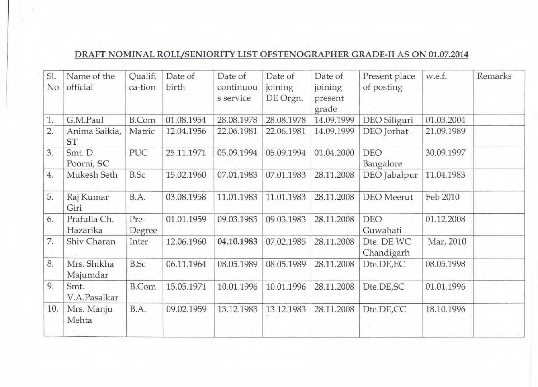## **DRAFT NOMINAL ROLUSENIORITY LIST OFSTENOGRAPHER GRADE-II AS ON 01.07.2014**

| SI. | Name of the                | Qualifi        | Date of    | Date of                | Date of             | Date of            | Present place            | w.e.f.     | Remarks |
|-----|----------------------------|----------------|------------|------------------------|---------------------|--------------------|--------------------------|------------|---------|
| No  | official                   | ca-tion        | birth      | continuou<br>s service | joining<br>DE Orgn. | joining<br>present | of posting               |            |         |
|     |                            |                |            |                        |                     | grade              |                          |            |         |
| 1.  | G.M.Paul                   | <b>B.Com</b>   | 01.08.1954 | 28.08.1978             | 28.08.1978          | 14.09.1999         | DEO Siliguri             | 01.03.2004 |         |
| 2.  | Anima Saikia,<br><b>ST</b> | Matric         | 12.04.1956 | 22.06.1981             | 22.06.1981          | 14.09.1999         | DEO Jorhat               | 21.09.1989 |         |
| 3.  | Smt. D.<br>Poorni, SC      | PUC            | 25.11.1971 | 05.09.1994             | 05.09.1994          | 01.04.2000         | <b>DEO</b><br>Bangalore  | 30.09.1997 |         |
| 4.  | Mukesh Seth                | <b>B.Sc</b>    | 15.02.1960 | 07.01.1983             | 07.01.1983          | 28.11.2008         | DEO Jabalpur             | 11.04.1983 |         |
| 5.  | Raj Kumar<br>Giri          | B.A.           | 03.08.1958 | 11.01.1983             | 11.01.1983          | 28.11.2008         | <b>DEO</b> Meerut        | Feb 2010   |         |
| 6.  | Prafulla Ch.<br>Hazarika   | Pre-<br>Degree | 01.01.1959 | 09.03.1983             | 09.03.1983          | 28.11.2008         | <b>DEO</b><br>Guwahati   | 01.12.2008 |         |
| 7.  | Shiv Charan                | Inter          | 12.06.1960 | 04.10.1983             | 07.02.1985          | 28.11.2008         | Dte. DE WC<br>Chandigarh | Mar, 2010  |         |
| 8.  | Mrs. Shikha<br>Majumdar    | <b>B.Sc</b>    | 06.11.1964 | 08.05.1989             | 08.05.1989          | 28.11.2008         | Dte.DE,EC                | 08.05.1998 |         |
| 9.  | Smt.<br>V.A.Pasalkar       | <b>B.Com</b>   | 15.05.1971 | 10.01.1996             | 10.01.1996          | 28.11.2008         | Dte.DE,SC                | 01.01.1996 |         |
| 10. | Mrs. Manju<br>Mehta        | B.A.           | 09.02.1959 | 13.12.1983             | 13.12.1983          | 28.11.2008         | Dte.DE,CC                | 18.10.1996 |         |
|     |                            |                |            |                        |                     |                    |                          |            |         |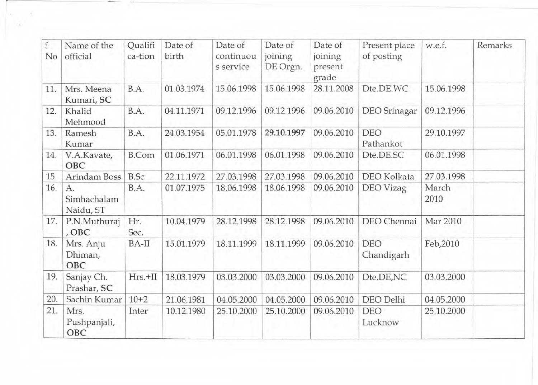| ć<br>No | Name of the<br>official        | Qualifi<br>ca-tion | Date of<br>birth | Date of<br>continuou<br>s service | Date of<br>joining<br>DE Orgn. | Date of<br>joining<br>present<br>grade | Present place<br>of posting | w.e.f.        | Remarks |
|---------|--------------------------------|--------------------|------------------|-----------------------------------|--------------------------------|----------------------------------------|-----------------------------|---------------|---------|
| 11.     | Mrs. Meena<br>Kumari, SC       | B.A.               | 01.03.1974       | 15.06.1998                        | 15.06.1998                     | 28.11.2008                             | Dte.DE.WC                   | 15.06.1998    |         |
| 12.     | Khalid<br>Mehmood              | B.A.               | 04.11.1971       | 09.12.1996                        | 09.12.1996                     | 09.06.2010                             | <b>DEO</b> Srinagar         | 09.12.1996    |         |
| 13.     | Ramesh<br>Kumar                | B.A.               | 24.03.1954       | 05.01.1978                        | 29.10.1997                     | 09.06.2010                             | DEO<br>Pathankot            | 29.10.1997    |         |
| 14.     | V.A.Kavate,<br>OBC             | <b>B.Com</b>       | 01.06.1971       | 06.01.1998                        | 06.01.1998                     | 09.06.2010                             | Dte.DE.SC                   | 06.01.1998    |         |
| 15.     | Arindam Boss                   | <b>B.Sc</b>        | 22.11.1972       | 27.03.1998                        | 27.03.1998                     | 09.06.2010                             | DEO Kolkata                 | 27.03.1998    |         |
| 16.     | A.<br>Simhachalam<br>Naidu, ST | B.A.               | 01.07.1975       | 18.06.1998                        | 18.06.1998                     | 09.06.2010                             | DEO Vizag                   | March<br>2010 |         |
| 17.     | P.N.Muthuraj<br>, OBC          | Hr.<br>Sec.        | 10.04.1979       | 28.12.1998                        | 28.12.1998                     | 09.06.2010                             | DEO Chennai                 | Mar 2010      |         |
| 18.     | Mrs. Anju<br>Dhiman,<br>OBC    | BA-II              | 15.01.1979       | 18.11.1999                        | 18.11.1999                     | 09.06.2010                             | <b>DEO</b><br>Chandigarh    | Feb, 2010     |         |
| 19.     | Sanjay Ch.<br>Prashar, SC      | $Hrs.+II$          | 18.03.1979       | 03.03.2000                        | 03.03.2000                     | 09.06.2010                             | Dte.DE,NC                   | 03.03.2000    |         |
| 20.     | Sachin Kumar                   | $10+2$             | 21.06.1981       | 04.05.2000                        | 04.05.2000                     | 09.06.2010                             | DEO Delhi                   | 04.05.2000    |         |
| 21.     | Mrs.<br>Pushpanjali,<br>OBC    | Inter              | 10.12.1980       | 25.10.2000                        | 25.10.2000                     | 09.06.2010                             | <b>DEO</b><br>Lucknow       | 25.10.2000    |         |